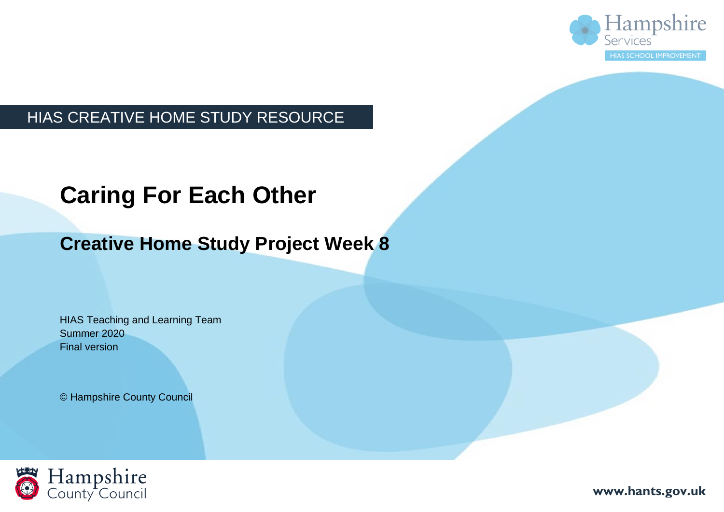

## HIAS CREATIVE HOME STUDY RESOURCE

# **Caring For Each Other**

## **Creative Home Study Project Week 8**

HIAS Teaching and Learning Team Summer 2020 Final version

© Hampshire County Council



**www.hants.gov.uk**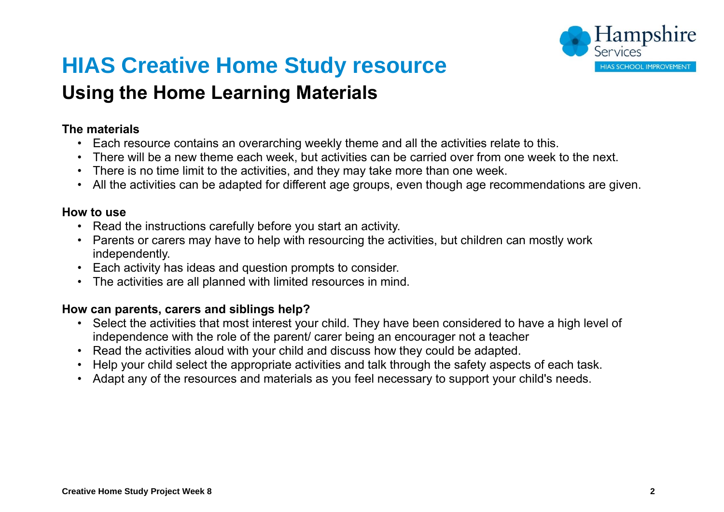

## **HIAS Creative Home Study resource Using the Home Learning Materials**

#### **The materials**

- Each resource contains an overarching weekly theme and all the activities relate to this.
- There will be a new theme each week, but activities can be carried over from one week to the next.
- There is no time limit to the activities, and they may take more than one week.
- All the activities can be adapted for different age groups, even though age recommendations are given.

#### **How to use**

- Read the instructions carefully before you start an activity.
- Parents or carers may have to help with resourcing the activities, but children can mostly work independently.
- Each activity has ideas and question prompts to consider.
- The activities are all planned with limited resources in mind.

#### **How can parents, carers and siblings help?**

- Select the activities that most interest your child. They have been considered to have a high level of independence with the role of the parent/ carer being an encourager not a teacher
- Read the activities aloud with your child and discuss how they could be adapted.
- Help your child select the appropriate activities and talk through the safety aspects of each task.
- Adapt any of the resources and materials as you feel necessary to support your child's needs.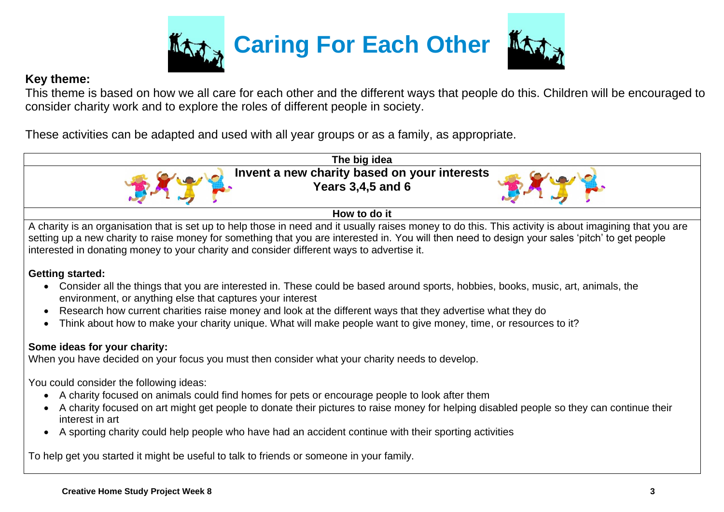

#### **Key theme:**

This theme is based on how we all care for each other and the different ways that people do this. Children will be encouraged to consider charity work and to explore the roles of different people in society.

These activities can be adapted and used with all year groups or as a family, as appropriate.



setting up a new charity to raise money for something that you are interested in. You will then need to design your sales 'pitch' to get people interested in donating money to your charity and consider different ways to advertise it.

#### **Getting started:**

- Consider all the things that you are interested in. These could be based around sports, hobbies, books, music, art, animals, the environment, or anything else that captures your interest
- Research how current charities raise money and look at the different ways that they advertise what they do
- Think about how to make your charity unique. What will make people want to give money, time, or resources to it?

#### **Some ideas for your charity:**

When you have decided on your focus you must then consider what your charity needs to develop.

You could consider the following ideas:

- A charity focused on animals could find homes for pets or encourage people to look after them
- A charity focused on art might get people to donate their pictures to raise money for helping disabled people so they can continue their interest in art
- A sporting charity could help people who have had an accident continue with their sporting activities

To help get you started it might be useful to talk to friends or someone in your family.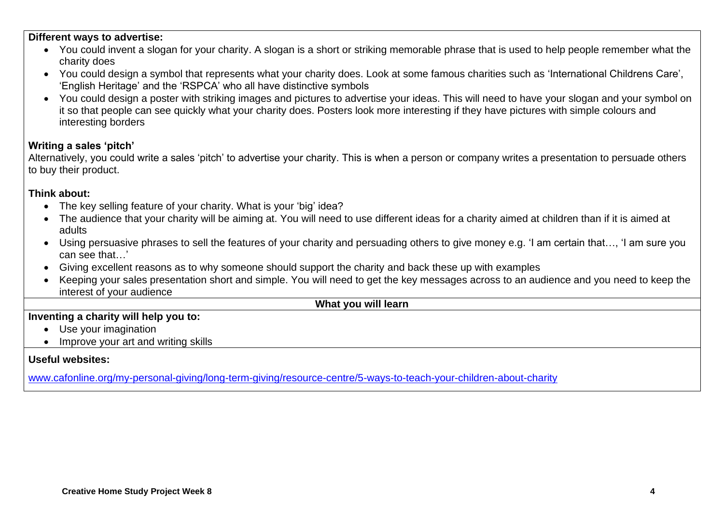#### **Different ways to advertise:**

- You could invent a slogan for your charity. A slogan is a short or striking memorable phrase that is used to help people remember what the charity does
- You could design a symbol that represents what your charity does. Look at some famous charities such as 'International Childrens Care', 'English Heritage' and the 'RSPCA' who all have distinctive symbols
- You could design a poster with striking images and pictures to advertise your ideas. This will need to have your slogan and your symbol on it so that people can see quickly what your charity does. Posters look more interesting if they have pictures with simple colours and interesting borders

#### **Writing a sales 'pitch'**

Alternatively, you could write a sales 'pitch' to advertise your charity. This is when a person or company writes a presentation to persuade others to buy their product.

#### **Think about:**

- The key selling feature of your charity. What is your 'big' idea?
- The audience that vour charity will be aiming at. You will need to use different ideas for a charity aimed at children than if it is aimed at adults
- Using persuasive phrases to sell the features of your charity and persuading others to give money e.g. 'I am certain that.... 'I am sure you can see that…'
- Giving excellent reasons as to why someone should support the charity and back these up with examples
- Keeping your sales presentation short and simple. You will need to get the key messages across to an audience and you need to keep the interest of your audience

#### **What you will learn**

#### **Inventing a charity will help you to:**

- Use your imagination
- Improve your art and writing skills

#### **Useful websites:**

[www.cafonline.org/my-personal-giving/long-term-giving/resource-centre/5-ways-to-teach-your-children-about-charity](http://www.cafonline.org/my-personal-giving/long-term-giving/resource-centre/5-ways-to-teach-your-children-about-charity)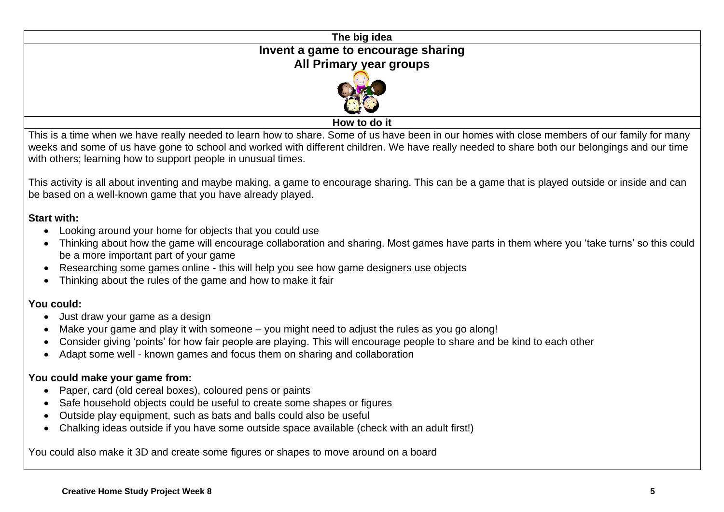# **The big idea Invent a game to encourage sharing All Pri[mary year](https://www.google.com/url?sa=i&url=https://pixabay.com/illustrations/children-joy-smile-worldwide-world-1056065/&psig=AOvVaw1pj7UvCNkX6Qt6sQzM_ZwB&ust=1589277924843000&source=images&cd=vfe&ved=0CAIQjRxqFwoTCPiy--bHq-kCFQAAAAAdAAAAABAD) groups**

**How to do it**

This is a time when we have really needed to learn how to share. Some of us have been in our homes with close members of our family for many weeks and some of us have gone to school and worked with different children. We have really needed to share both our belongings and our time with others; learning how to support people in unusual times.

This activity is all about inventing and maybe making, a game to encourage sharing. This can be a game that is played outside or inside and can be based on a well-known game that you have already played.

#### **Start with:**

- Looking around your home for objects that you could use
- Thinking about how the game will encourage collaboration and sharing. Most games have parts in them where you 'take turns' so this could be a more important part of your game
- Researching some games online this will help you see how game designers use objects
- Thinking about the rules of the game and how to make it fair

#### **You could:**

- Just draw your game as a design
- Make your game and play it with someone you might need to adjust the rules as you go along!
- Consider giving 'points' for how fair people are playing. This will encourage people to share and be kind to each other
- Adapt some well known games and focus them on sharing and collaboration

#### **You could make your game from:**

- Paper, card (old cereal boxes), coloured pens or paints
- Safe household objects could be useful to create some shapes or figures
- Outside play equipment, such as bats and balls could also be useful
- Chalking ideas outside if you have some outside space available (check with an adult first!)

You could also make it 3D and create some figures or shapes to move around on a board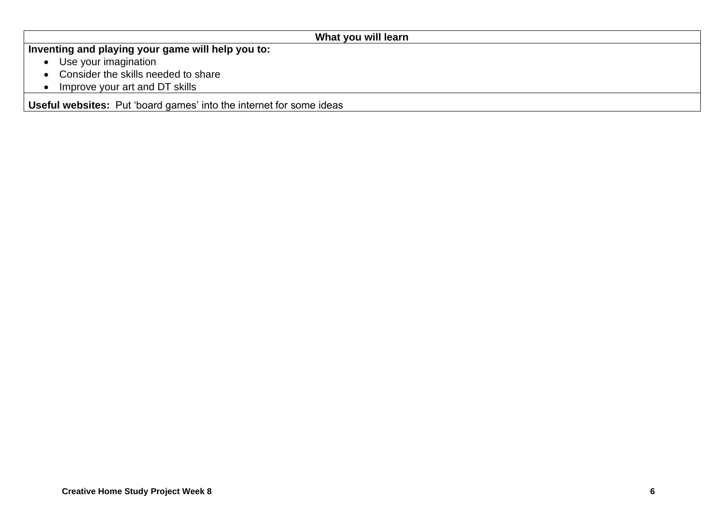| What you will learn                                                        |
|----------------------------------------------------------------------------|
| Inventing and playing your game will help you to:                          |
| Use your imagination<br>$\bullet$                                          |
| Consider the skills needed to share                                        |
| Improve your art and DT skills                                             |
| <b>Useful websites:</b> Put 'board games' into the internet for some ideas |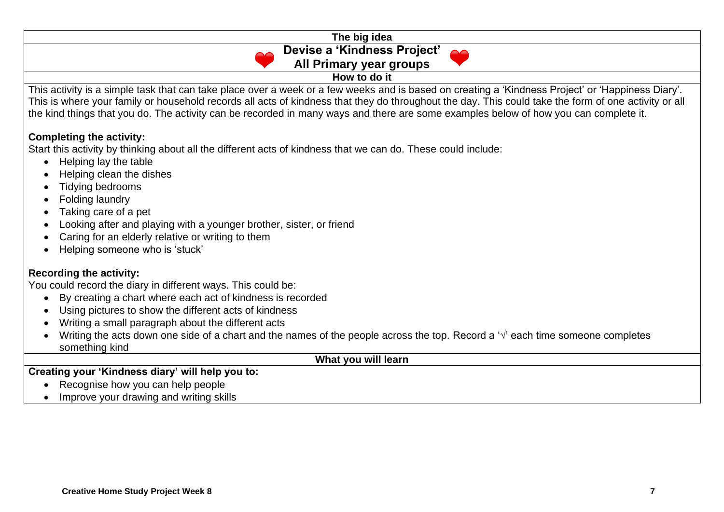#### **The big idea Devise a 'Kindness Project' All Primary year groups How to do it**

This activity is a simple task that can take place over a week or a few weeks and is based on creating a 'Kindness Project' or 'Happiness Diary'. This is where your family or household records all acts of kindness that they do throughout the day. This could take the form of one activity or all the kind things that you do. The activity can be recorded in many ways and there are some examples below of how you can complete it.

#### **Completing the activity:**

Start this activity by thinking about all the different acts of kindness that we can do. These could include:

- Helping lay the table
- Helping clean the dishes
- Tidying bedrooms
- Folding laundry
- Taking care of a pet
- Looking after and playing with a younger brother, sister, or friend
- Caring for an elderly relative or writing to them
- Helping someone who is 'stuck'

#### **Recording the activity:**

You could record the diary in different ways. This could be:

- By creating a chart where each act of kindness is recorded
- Using pictures to show the different acts of kindness
- Writing a small paragraph about the different acts
- Writing the acts down one side of a chart and the names of the people across the top. Record a  $\forall$  each time someone completes something kind

**What you will learn** 

#### **Creating your 'Kindness diary' will help you to:**

- Recognise how you can help people
- Improve your drawing and writing skills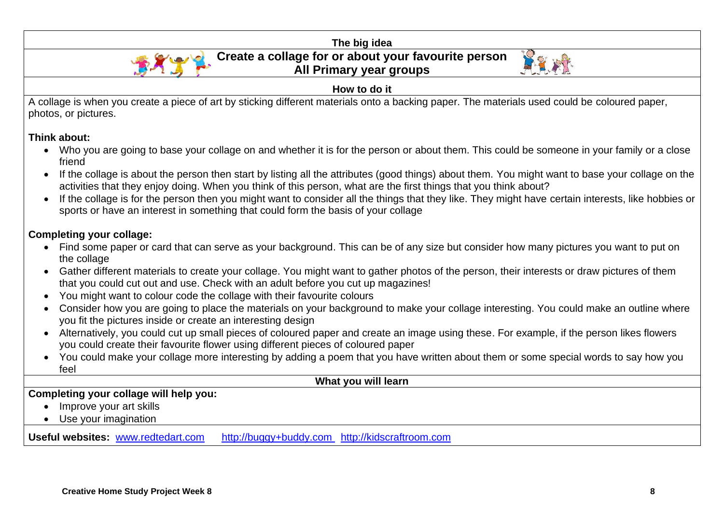

#### **Think about:**

- Who you are going to base your collage on and whether it is for the person or about them. This could be someone in your family or a close friend
- If the collage is about the person then start by listing all the attributes (good things) about them. You might want to base your collage on the activities that they enjoy doing. When you think of this person, what are the first things that you think about?
- If the collage is for the person then you might want to consider all the things that they like. They might have certain interests, like hobbies or sports or have an interest in something that could form the basis of your collage

#### **Completing your collage:**

- Find some paper or card that can serve as your background. This can be of any size but consider how many pictures you want to put on the collage
- Gather different materials to create your collage. You might want to gather photos of the person, their interests or draw pictures of them that you could cut out and use. Check with an adult before you cut up magazines!
- You might want to colour code the collage with their favourite colours
- Consider how you are going to place the materials on your background to make your collage interesting. You could make an outline where you fit the pictures inside or create an interesting design
- Alternatively, you could cut up small pieces of coloured paper and create an image using these. For example, if the person likes flowers you could create their favourite flower using different pieces of coloured paper
- You could make your collage more interesting by adding a poem that you have written about them or some special words to say how you feel

#### **What you will learn**

#### **Completing your collage will help you:**

- Improve your art skills
- Use your imagination

Useful websites: [www.redtedart.com](http://www.redtedart.com/) [http://buggy+buddy.com](http://buggy+buddy.com/) [http://kidscraftroom.com](http://kidscraftroom.com/)

**Creative Home Study Project Week 8 8**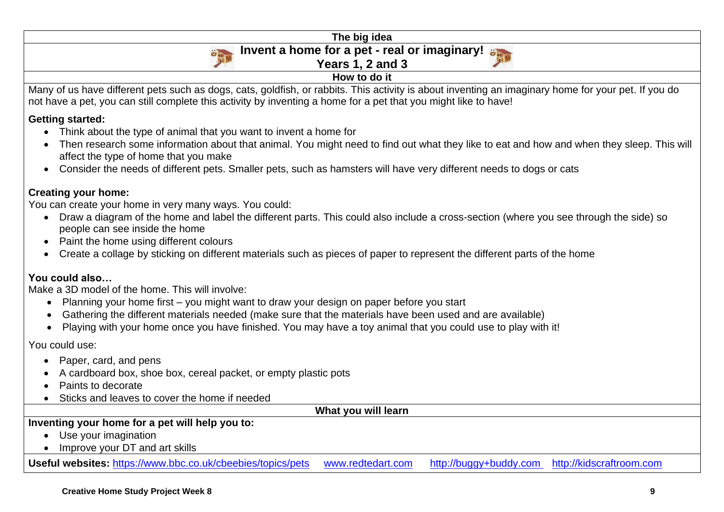**The big idea**

**How to do it**

#### **Invent a home for a pet - real or imaginary!**

**Years 1, 2 and 3**



Many of us have different pets such as dogs, cats, goldfish, or rabbits. This activity is about inventing an imaginary home for your pet. If you do not have a pet, you can still complete this activity by inventing a home for a pet that you might like to have!

#### **Getting started:**

- Think about the type of animal that you want to invent a home for
- Then research some information about that animal. You might need to find out what they like to eat and how and when they sleep. This will affect the type of home that you make
- Consider the needs of different pets. Smaller pets, such as hamsters will have very different needs to dogs or cats

#### **Creating your home:**

You can create your home in very many ways. You could:

- Draw a diagram of the home and label the different parts. This could also include a cross-section (where you see through the side) so people can see inside the home
- Paint the home using different colours
- Create a collage by sticking on different materials such as pieces of paper to represent the different parts of the home

#### **You could also…**

Make a 3D model of the home. This will involve:

- Planning your home first you might want to draw your design on paper before you start
- Gathering the different materials needed (make sure that the materials have been used and are available)
- Playing with your home once you have finished. You may have a toy animal that you could use to play with it!

You could use:

- Paper, card, and pens
- A cardboard box, shoe box, cereal packet, or empty plastic pots
- Paints to decorate
- Sticks and leaves to cover the home if needed

**What you will learn** 

#### **Inventing your home for a pet will help you to:**

- Use your imagination
- Improve your DT and art skills

**Useful websites:** <https://www.bbc.co.uk/cbeebies/topics/pets> [www.redtedart.com](http://www.redtedart.com/) [http://buggy+buddy.com](http://buggy+buddy.com/) [http://kidscraftroom.com](http://kidscraftroom.com/)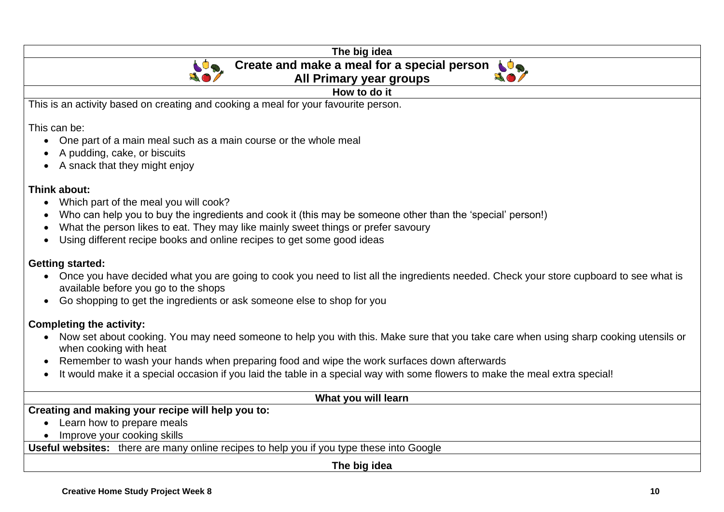| The big idea                                                                                                                                      |
|---------------------------------------------------------------------------------------------------------------------------------------------------|
| Create and make a meal for a special person $\triangle$<br>$\bullet$                                                                              |
| All Primary year groups                                                                                                                           |
| How to do it                                                                                                                                      |
| This is an activity based on creating and cooking a meal for your favourite person.                                                               |
| This can be:                                                                                                                                      |
| • One part of a main meal such as a main course or the whole meal                                                                                 |
| A pudding, cake, or biscuits                                                                                                                      |
| • A snack that they might enjoy                                                                                                                   |
|                                                                                                                                                   |
| Think about:                                                                                                                                      |
| Which part of the meal you will cook?                                                                                                             |
| Who can help you to buy the ingredients and cook it (this may be someone other than the 'special' person!)<br>$\bullet$                           |
| What the person likes to eat. They may like mainly sweet things or prefer savoury                                                                 |
| Using different recipe books and online recipes to get some good ideas<br>$\bullet$                                                               |
| <b>Getting started:</b>                                                                                                                           |
| Once you have decided what you are going to cook you need to list all the ingredients needed. Check your store cupboard to see what is            |
| available before you go to the shops                                                                                                              |
| Go shopping to get the ingredients or ask someone else to shop for you<br>$\bullet$                                                               |
| <b>Completing the activity:</b>                                                                                                                   |
| Now set about cooking. You may need someone to help you with this. Make sure that you take care when using sharp cooking utensils or<br>$\bullet$ |
| when cooking with heat                                                                                                                            |
| Remember to wash your hands when preparing food and wipe the work surfaces down afterwards                                                        |
| It would make it a special occasion if you laid the table in a special way with some flowers to make the meal extra special!                      |

| What you will learn                                                                             |
|-------------------------------------------------------------------------------------------------|
| Creating and making your recipe will help you to:                                               |
| • Learn how to prepare meals                                                                    |
| Improve your cooking skills                                                                     |
| <b>Useful websites:</b> there are many online recipes to help you if you type these into Google |
| The big idea                                                                                    |
|                                                                                                 |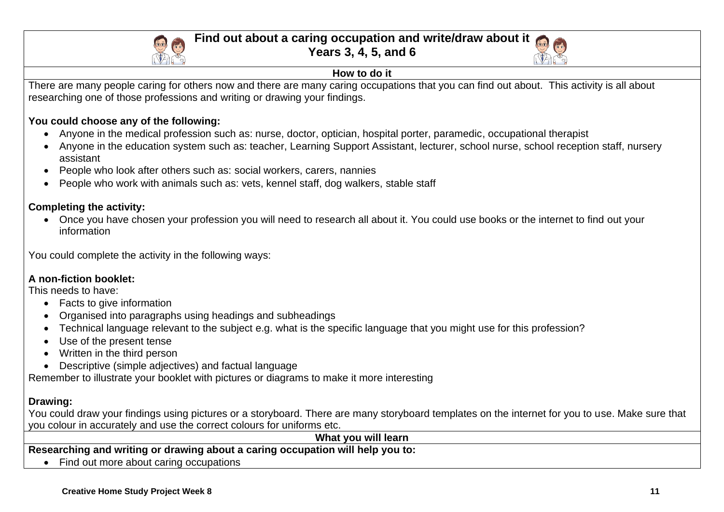

#### **Find out about a caring occupation and write/draw about it**

**Years 3, 4, 5, and 6**



#### **How to do it**

There are many people caring for others now and there are many caring occupations that you can find out about. This activity is all about researching one of those professions and writing or drawing your findings.

#### **You could choose any of the following:**

- Anyone in the medical profession such as: nurse, doctor, optician, hospital porter, paramedic, occupational therapist
- Anyone in the education system such as: teacher, Learning Support Assistant, lecturer, school nurse, school reception staff, nursery assistant
- People who look after others such as: social workers, carers, nannies
- People who work with animals such as: vets, kennel staff, dog walkers, stable staff

#### **Completing the activity:**

• Once you have chosen your profession you will need to research all about it. You could use books or the internet to find out your information

You could complete the activity in the following ways:

#### **A non-fiction booklet:**

This needs to have:

- Facts to give information
- Organised into paragraphs using headings and subheadings
- Technical language relevant to the subject e.g. what is the specific language that you might use for this profession?
- Use of the present tense
- Written in the third person
- Descriptive (simple adjectives) and factual language

Remember to illustrate your booklet with pictures or diagrams to make it more interesting

### **Drawing:**

You could draw your findings using pictures or a storyboard. There are many storyboard templates on the internet for you to use. Make sure that you colour in accurately and use the correct colours for uniforms etc.

**What you will learn** 

**Researching and writing or drawing about a caring occupation will help you to:**

• Find out more about caring occupations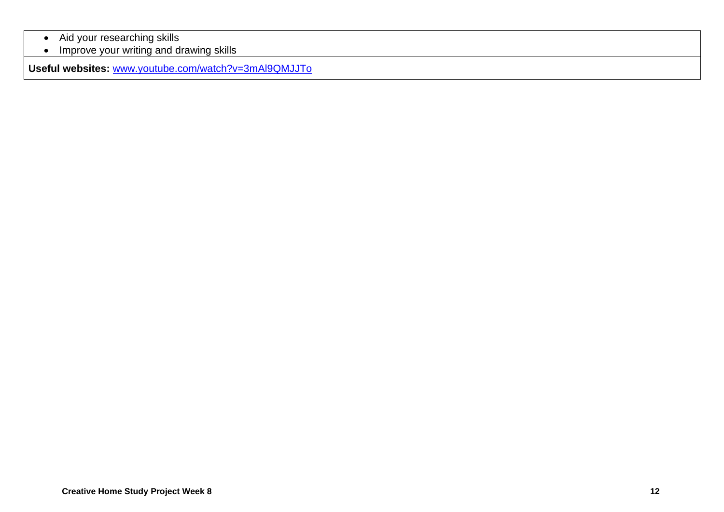- Aid your researching skills
- Improve your writing and drawing skills

**Useful websites:** [www.youtube.com/watch?v=3mAl9QMJJTo](https://www.youtube.com/watch?v=3mAl9QMJJTo)